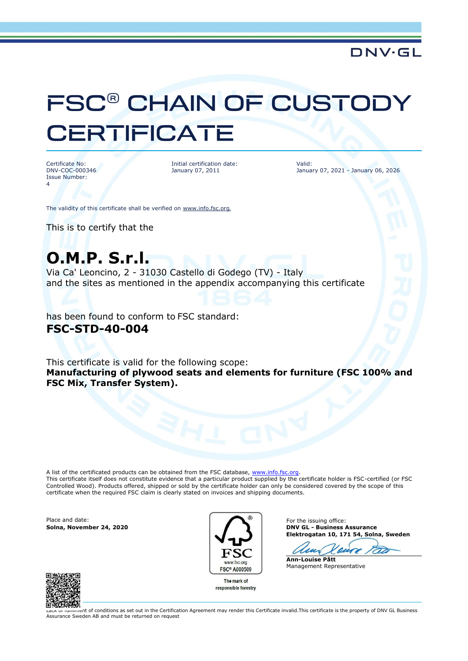### **DNV·GL**

# FSC<sup>®</sup> CHAIN OF CUSTODY **CERTIFICATE**

Certificate No: DNV-COC-000346 Issue Number: 4

Initial certification date: January 07, 2011

Valid: January 07, 2021 - January 06, 2026

The validity of this certificate shall be verified on [www.info.fsc.org](http://www.info.fsc.org/).

This is to certify that the

# **O.M.P. S.r.l.**

Via Ca' Leoncino, 2 - 31030 Castello di Godego (TV) - Italy and the sites as mentioned in the appendix accompanying this certificate

has been found to conform to FSC standard: **FSC-STD-40-004**

This certificate is valid for the following scope: **Manufacturing of plywood seats and elements for furniture (FSC 100% and FSC Mix, Transfer System).**

A list of the certificated products can be obtained from the FSC database, [www.info.fsc.org.](file:///D:/Oracle/Middleware/user_projects/domains/bifoundation_domain/www.info.fsc.org) This certificate itself does not constitute evidence that a particular product supplied by the certificate holder is FSC-certified (or FSC Controlled Wood). Products offered, shipped or sold by the certificate holder can only be considered covered by the scope of this certificate when the required FSC claim is clearly stated on invoices and shipping documents.

Place and date: For the issuing office:



The mark of responsible forestry

**Solna, November 24, 2020 DNV GL - Business Assurance Elektrogatan 10, 171 54, Solna, Sweden**

 $\overline{\mathbf{A}}$ **Ann-Louise Pått**

Management Representative



Lack of fulfilment of conditions as set out in the Certification Agreement may render this Certificate invalid.This certificate is the property of DNV GL Business Assurance Sweden AB and must be returned on request